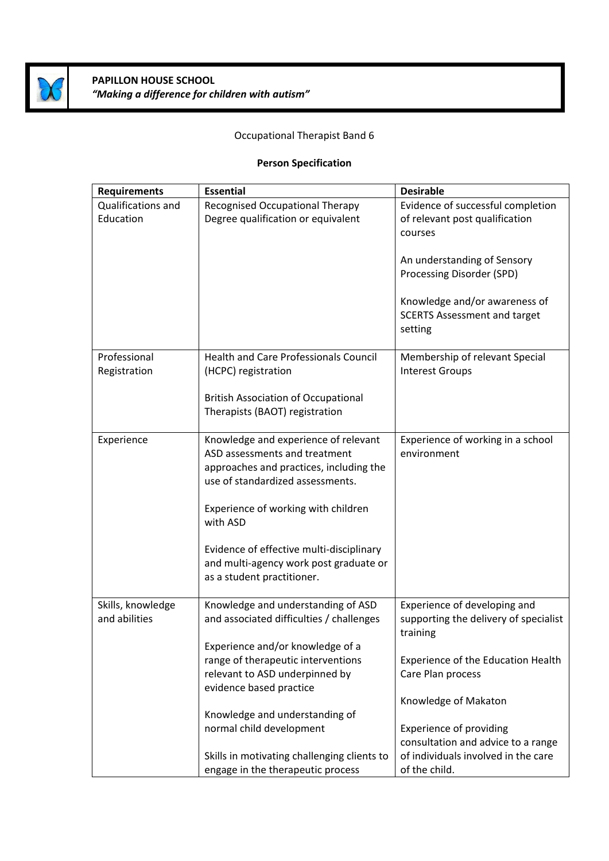

## **PAPILLON HOUSE SCHOOL** *"Making a difference for children with autism"*

## Occupational Therapist Band 6

## **Person Specification**

| <b>Requirements</b>                | <b>Essential</b>                                                                                                                                     | <b>Desirable</b>                                                                  |
|------------------------------------|------------------------------------------------------------------------------------------------------------------------------------------------------|-----------------------------------------------------------------------------------|
| Qualifications and<br>Education    | Recognised Occupational Therapy<br>Degree qualification or equivalent                                                                                | Evidence of successful completion<br>of relevant post qualification<br>courses    |
|                                    |                                                                                                                                                      | An understanding of Sensory<br>Processing Disorder (SPD)                          |
|                                    |                                                                                                                                                      | Knowledge and/or awareness of<br><b>SCERTS Assessment and target</b><br>setting   |
| Professional<br>Registration       | <b>Health and Care Professionals Council</b><br>(HCPC) registration                                                                                  | Membership of relevant Special<br><b>Interest Groups</b>                          |
|                                    | <b>British Association of Occupational</b><br>Therapists (BAOT) registration                                                                         |                                                                                   |
| Experience                         | Knowledge and experience of relevant<br>ASD assessments and treatment<br>approaches and practices, including the<br>use of standardized assessments. | Experience of working in a school<br>environment                                  |
|                                    | Experience of working with children<br>with ASD                                                                                                      |                                                                                   |
|                                    | Evidence of effective multi-disciplinary<br>and multi-agency work post graduate or<br>as a student practitioner.                                     |                                                                                   |
| Skills, knowledge<br>and abilities | Knowledge and understanding of ASD<br>and associated difficulties / challenges                                                                       | Experience of developing and<br>supporting the delivery of specialist<br>training |
|                                    | Experience and/or knowledge of a<br>range of therapeutic interventions<br>relevant to ASD underpinned by<br>evidence based practice                  | Experience of the Education Health<br>Care Plan process                           |
|                                    |                                                                                                                                                      | Knowledge of Makaton                                                              |
|                                    | Knowledge and understanding of<br>normal child development                                                                                           | <b>Experience of providing</b>                                                    |
|                                    | Skills in motivating challenging clients to                                                                                                          | consultation and advice to a range<br>of individuals involved in the care         |
|                                    | engage in the therapeutic process                                                                                                                    | of the child.                                                                     |